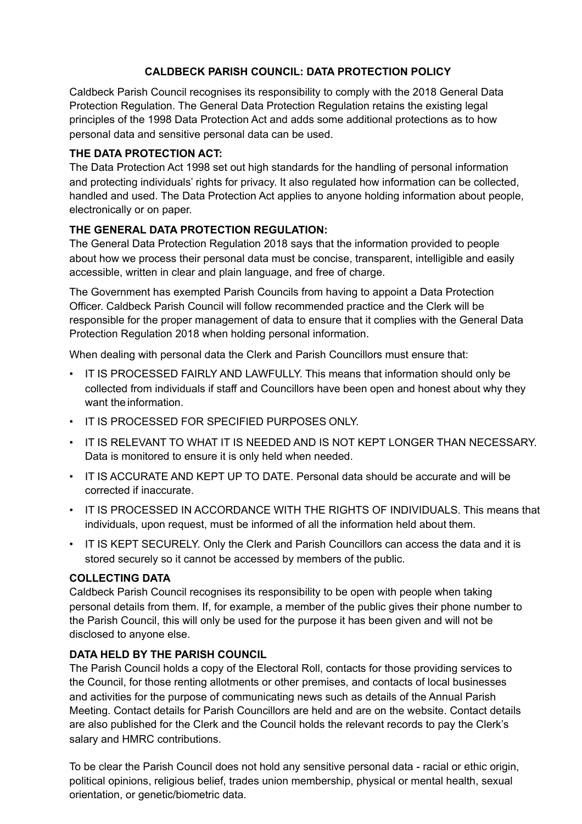# **CALDBECK PARISH COUNCIL: DATA PROTECTION POLICY**

Caldbeck Parish Council recognises its responsibility to comply with the 2018 General Data Protection Regulation. The General Data Protection Regulation retains the existing legal principles of the 1998 Data Protection Act and adds some additional protections as to how personal data and sensitive personal data can be used.

### **THE DATA PROTECTION ACT:**

The Data Protection Act 1998 set out high standards for the handling of personal information and protecting individuals' rights for privacy. It also regulated how information can be collected, handled and used. The Data Protection Act applies to anyone holding information about people, electronically or on paper.

### **THE GENERAL DATA PROTECTION REGULATION:**

The General Data Protection Regulation 2018 says that the information provided to people about how we process their personal data must be concise, transparent, intelligible and easily accessible, written in clear and plain language, and free of charge.

The Government has exempted Parish Councils from having to appoint a Data Protection Officer. Caldbeck Parish Council will follow recommended practice and the Clerk will be responsible for the proper management of data to ensure that it complies with the General Data Protection Regulation 2018 when holding personal information.

When dealing with personal data the Clerk and Parish Councillors must ensure that:

- IT IS PROCESSED FAIRLY AND LAWFULLY. This means that information should only be collected from individuals if staff and Councillors have been open and honest about why they want the information.
- IT IS PROCESSED FOR SPECIFIED PURPOSES ONLY.
- IT IS RELEVANT TO WHAT IT IS NEEDED AND IS NOT KEPT LONGER THAN NECESSARY. Data is monitored to ensure it is only held when needed.
- IT IS ACCURATE AND KEPT UP TO DATE. Personal data should be accurate and will be corrected if inaccurate.
- IT IS PROCESSED IN ACCORDANCE WITH THE RIGHTS OF INDIVIDUALS. This means that individuals, upon request, must be informed of all the information held about them.
- IT IS KEPT SECURELY. Only the Clerk and Parish Councillors can access the data and it is stored securely so it cannot be accessed by members of the public.

#### **COLLECTING DATA**

Caldbeck Parish Council recognises its responsibility to be open with people when taking personal details from them. If, for example, a member of the public gives their phone number to the Parish Council, this will only be used for the purpose it has been given and will not be disclosed to anyone else.

## **DATA HELD BY THE PARISH COUNCIL**

The Parish Council holds a copy of the Electoral Roll, contacts for those providing services to the Council, for those renting allotments or other premises, and contacts of local businesses and activities for the purpose of communicating news such as details of the Annual Parish Meeting. Contact details for Parish Councillors are held and are on the website. Contact details are also published for the Clerk and the Council holds the relevant records to pay the Clerk's salary and HMRC contributions.

To be clear the Parish Council does not hold any sensitive personal data - racial or ethic origin, political opinions, religious belief, trades union membership, physical or mental health, sexual orientation, or genetic/biometric data.